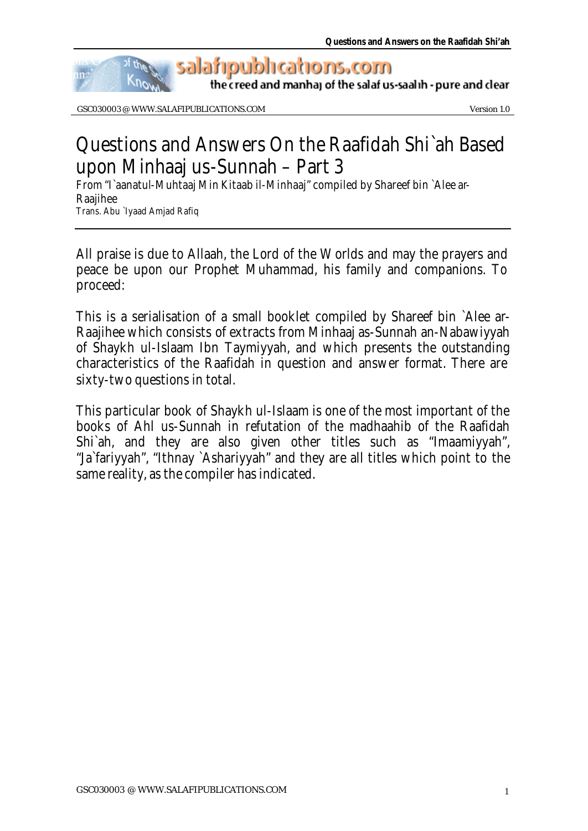

GSC030003 @ WWW.SALAFIPUBLICATIONS.COM Version 1.0

# Questions and Answers On the Raafidah Shi`ah Based upon Minhaaj us-Sunnah – Part 3

From "I`aanatul-Muhtaaj Min Kitaab il-Minhaaj" compiled by Shareef bin `Alee ar-Raajihee Trans. Abu `Iyaad Amjad Rafiq

All praise is due to Allaah, the Lord of the Worlds and may the prayers and peace be upon our Prophet Muhammad, his family and companions. To proceed:

This is a serialisation of a small booklet compiled by Shareef bin `Alee ar-Raajihee which consists of extracts from Minhaaj as-Sunnah an-Nabawiyyah of Shaykh ul-Islaam Ibn Taymiyyah, and which presents the outstanding characteristics of the Raafidah in question and answer format. There are sixty-two questions in total.

This particular book of Shaykh ul-Islaam is one of the most important of the books of Ahl us-Sunnah in refutation of the madhaahib of the Raafidah Shi`ah, and they are also given other titles such as "Imaamiyyah", "Ja`fariyyah", "Ithnay `Ashariyyah" and they are all titles which point to the same reality, as the compiler has indicated.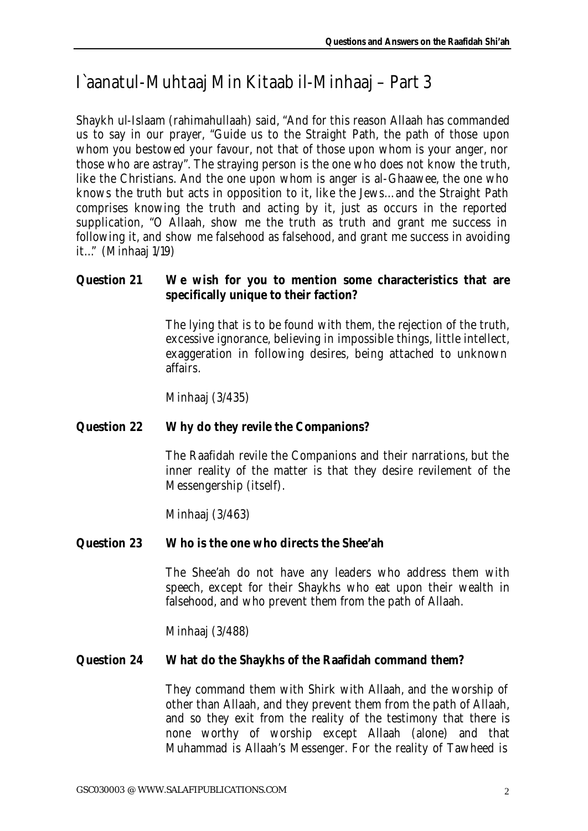# I`aanatul-Muhtaaj Min Kitaab il-Minhaaj – Part 3

Shaykh ul-Islaam (rahimahullaah) said, "And for this reason Allaah has commanded us to say in our prayer, "Guide us to the Straight Path, the path of those upon whom you bestowed your favour, not that of those upon whom is your anger, nor those who are astray". The straying person is the one who does not know the truth, like the Christians. And the one upon whom is anger is al-Ghaawee, the one who knows the truth but acts in opposition to it, like the Jews… and the Straight Path comprises knowing the truth and acting by it, just as occurs in the reported supplication, "O Allaah, show me the truth as truth and grant me success in following it, and show me falsehood as falsehood, and grant me success in avoiding it…" (Minhaaj 1/19)

# **Question 21 We wish for you to mention some characteristics that are specifically unique to their faction?**

The lying that is to be found with them, the rejection of the truth, excessive ignorance, believing in impossible things, little intellect, exaggeration in following desires, being attached to unknown affairs.

Minhaaj (3/435)

# **Question 22 Why do they revile the Companions?**

The Raafidah revile the Companions and their narrations, but the inner reality of the matter is that they desire revilement of the Messengership (itself).

Minhaaj (3/463)

# **Question 23 Who is the one who directs the Shee'ah**

The Shee'ah do not have any leaders who address them with speech, except for their Shaykhs who eat upon their wealth in falsehood, and who prevent them from the path of Allaah.

Minhaaj (3/488)

#### **Question 24 What do the Shaykhs of the Raafidah command them?**

They command them with Shirk with Allaah, and the worship of other than Allaah, and they prevent them from the path of Allaah, and so they exit from the reality of the testimony that there is none worthy of worship except Allaah (alone) and that Muhammad is Allaah's Messenger. For the reality of Tawheed is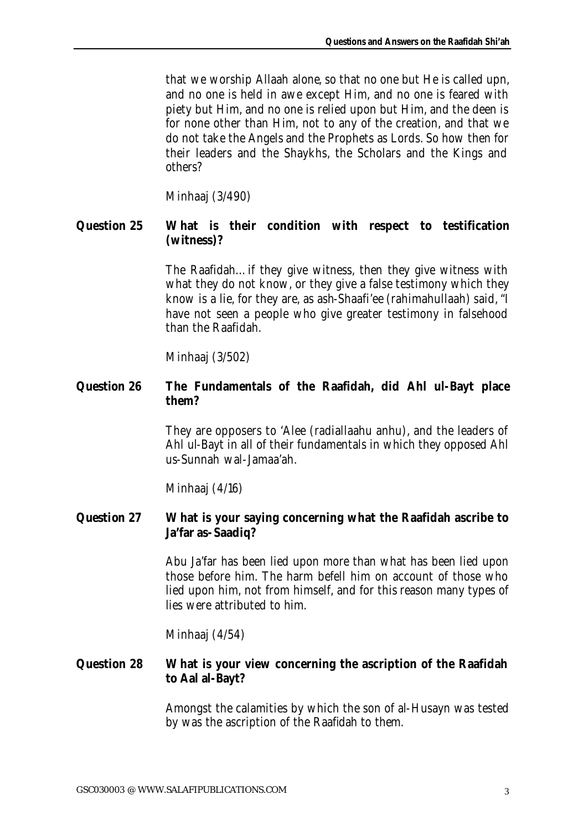that we worship Allaah alone, so that no one but He is called upn, and no one is held in awe except Him, and no one is feared with piety but Him, and no one is relied upon but Him, and the deen is for none other than Him, not to any of the creation, and that we do not take the Angels and the Prophets as Lords. So how then for their leaders and the Shaykhs, the Scholars and the Kings and others?

Minhaaj (3/490)

# **Question 25 What is their condition with respect to testification (witness)?**

The Raafidah… if they give witness, then they give witness with what they do not know, or they give a false testimony which they know is a lie, for they are, as ash-Shaafi'ee (rahimahullaah) said, "I have not seen a people who give greater testimony in falsehood than the Raafidah.

Minhaaj (3/502)

# **Question 26 The Fundamentals of the Raafidah, did Ahl ul-Bayt place them?**

They are opposers to 'Alee (radiallaahu anhu), and the leaders of Ahl ul-Bayt in all of their fundamentals in which they opposed Ahl us-Sunnah wal-Jamaa'ah.

Minhaaj (4/16)

# **Question 27 What is your saying concerning what the Raafidah ascribe to Ja'far as-Saadiq?**

Abu Ja'far has been lied upon more than what has been lied upon those before him. The harm befell him on account of those who lied upon him, not from himself, and for this reason many types of lies were attributed to him.

Minhaaj (4/54)

# **Question 28 What is your view concerning the ascription of the Raafidah to Aal al-Bayt?**

Amongst the calamities by which the son of al-Husayn was tested by was the ascription of the Raafidah to them.